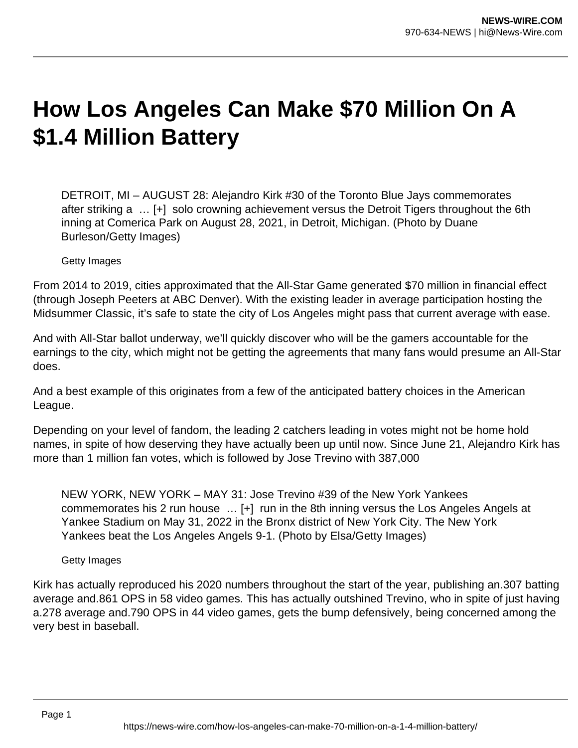## **How Los Angeles Can Make \$70 Million On A \$1.4 Million Battery**

DETROIT, MI – AUGUST 28: Alejandro Kirk #30 of the Toronto Blue Jays commemorates after striking a … [+] solo crowning achievement versus the Detroit Tigers throughout the 6th inning at Comerica Park on August 28, 2021, in Detroit, Michigan. (Photo by Duane Burleson/Getty Images)

Getty Images

From 2014 to 2019, cities approximated that the All-Star Game generated \$70 million in financial effect (through Joseph Peeters at ABC Denver). With the existing leader in average participation hosting the Midsummer Classic, it's safe to state the city of Los Angeles might pass that current average with ease.

And with All-Star ballot underway, we'll quickly discover who will be the gamers accountable for the earnings to the city, which might not be getting the agreements that many fans would presume an All-Star does.

And a best example of this originates from a few of the anticipated battery choices in the American League.

Depending on your level of fandom, the leading 2 catchers leading in votes might not be home hold names, in spite of how deserving they have actually been up until now. Since June 21, Alejandro Kirk has more than 1 million fan votes, which is followed by Jose Trevino with 387,000

NEW YORK, NEW YORK – MAY 31: Jose Trevino #39 of the New York Yankees commemorates his 2 run house … [+] run in the 8th inning versus the Los Angeles Angels at Yankee Stadium on May 31, 2022 in the Bronx district of New York City. The New York Yankees beat the Los Angeles Angels 9-1. (Photo by Elsa/Getty Images)

Getty Images

Kirk has actually reproduced his 2020 numbers throughout the start of the year, publishing an.307 batting average and.861 OPS in 58 video games. This has actually outshined Trevino, who in spite of just having a.278 average and.790 OPS in 44 video games, gets the bump defensively, being concerned among the very best in baseball.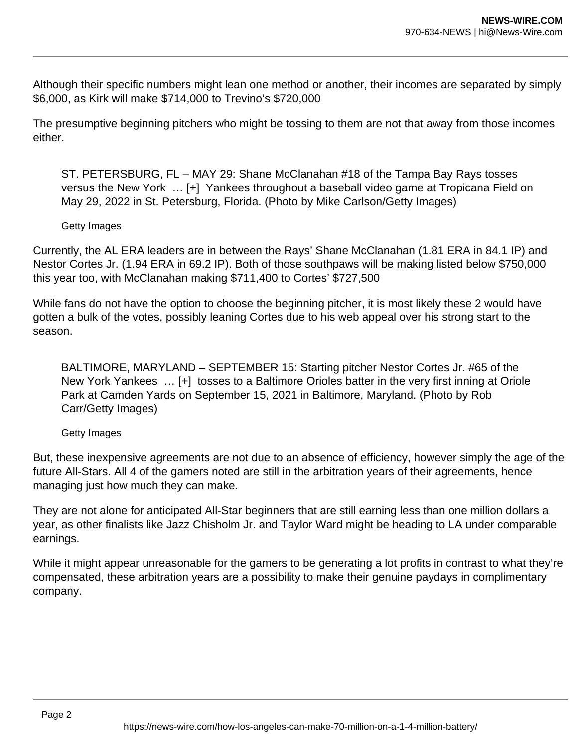Although their specific numbers might lean one method or another, their incomes are separated by simply \$6,000, as Kirk will make \$714,000 to Trevino's \$720,000

The presumptive beginning pitchers who might be tossing to them are not that away from those incomes either.

ST. PETERSBURG, FL – MAY 29: Shane McClanahan #18 of the Tampa Bay Rays tosses versus the New York … [+] Yankees throughout a baseball video game at Tropicana Field on May 29, 2022 in St. Petersburg, Florida. (Photo by Mike Carlson/Getty Images)

## Getty Images

Currently, the AL ERA leaders are in between the Rays' Shane McClanahan (1.81 ERA in 84.1 IP) and Nestor Cortes Jr. (1.94 ERA in 69.2 IP). Both of those southpaws will be making listed below \$750,000 this year too, with McClanahan making \$711,400 to Cortes' \$727,500

While fans do not have the option to choose the beginning pitcher, it is most likely these 2 would have gotten a bulk of the votes, possibly leaning Cortes due to his web appeal over his strong start to the season.

BALTIMORE, MARYLAND – SEPTEMBER 15: Starting pitcher Nestor Cortes Jr. #65 of the New York Yankees … [+] tosses to a Baltimore Orioles batter in the very first inning at Oriole Park at Camden Yards on September 15, 2021 in Baltimore, Maryland. (Photo by Rob Carr/Getty Images)

## Getty Images

But, these inexpensive agreements are not due to an absence of efficiency, however simply the age of the future All-Stars. All 4 of the gamers noted are still in the arbitration years of their agreements, hence managing just how much they can make.

They are not alone for anticipated All-Star beginners that are still earning less than one million dollars a year, as other finalists like Jazz Chisholm Jr. and Taylor Ward might be heading to LA under comparable earnings.

While it might appear unreasonable for the gamers to be generating a lot profits in contrast to what they're compensated, these arbitration years are a possibility to make their genuine paydays in complimentary company.